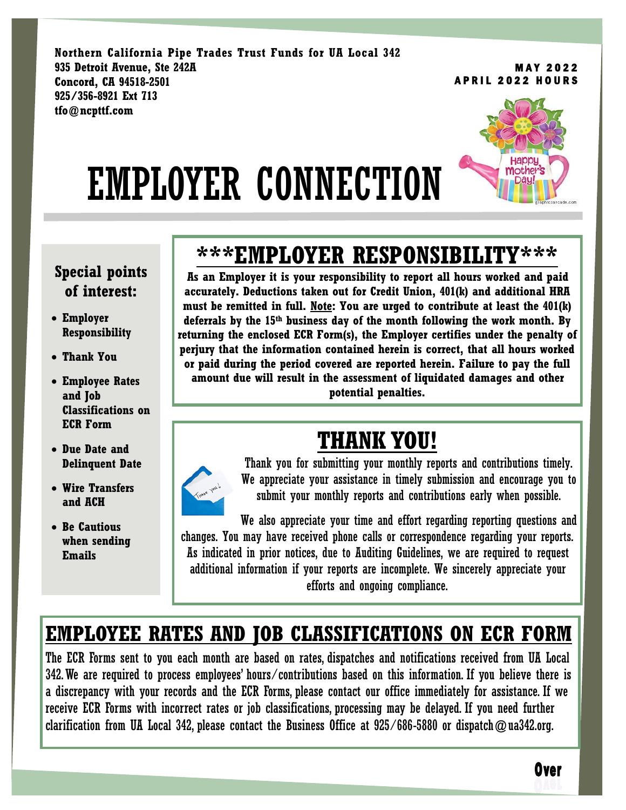**Northern California Pipe Trades Trust Funds for UA Local 342 935 Detroit Avenue, Ste 242A Concord, CA 94518-2501 925/356-8921 Ext 713 tfo@ncpttf.com**

**MAY 2022 APRIL 2022 HOURS** 

# EMPLOYER CONNECTION



#### **Special points of interest:**

- **Employer Responsibility**
- **Thank You**
- **Employee Rates and Job Classifications on ECR Form**
- **Due Date and Delinquent Date**
- **Wire Transfers and ACH**
- **Be Cautious when sending Emails**

### **\*\*\*EMPLOYER RESPONSIBILITY\*\*\***

 **must be remitted in full. Note: You are urged to contribute at least the 401(k) As an Employer it is your responsibility to report all hours worked and paid accurately. Deductions taken out for Credit Union, 401(k) and additional HRA deferrals by the 15th business day of the month following the work month. By returning the enclosed ECR Form(s), the Employer certifies under the penalty of perjury that the information contained herein is correct, that all hours worked or paid during the period covered are reported herein. Failure to pay the full amount due will result in the assessment of liquidated damages and other potential penalties.**

### **THANK YOU!**



Thank you for submitting your monthly reports and contributions timely. We appreciate your assistance in timely submission and encourage you to submit your monthly reports and contributions early when possible.

We also appreciate your time and effort regarding reporting questions and changes. You may have received phone calls or correspondence regarding your reports. As indicated in prior notices, due to Auditing Guidelines, we are required to request additional information if your reports are incomplete. We sincerely appreciate your efforts and ongoing compliance.

#### **EMPLOYEE RATES AND JOB CLASSIFICATIONS ON ECR FORM**

The ECR Forms sent to you each month are based on rates, dispatches and notifications received from UA Local 342. We are required to process employees' hours/contributions based on this information. If you believe there is a discrepancy with your records and the ECR Forms, please contact our office immediately for assistance. If we receive ECR Forms with incorrect rates or job classifications, processing may be delayed. If you need further clarification from UA Local 342, please contact the Business Office at  $925/686-5880$  or dispatch  $@$ ua342.org.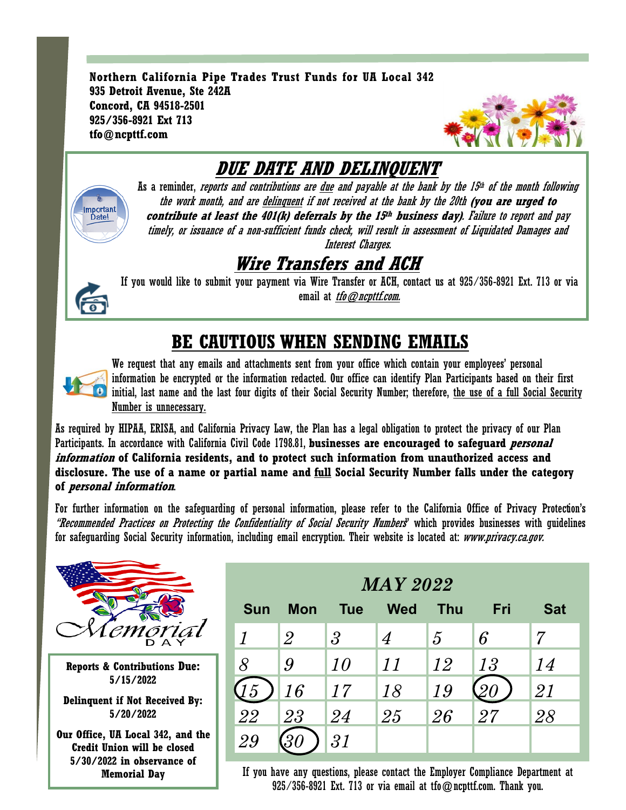**Northern California Pipe Trades Trust Funds for UA Local 342 935 Detroit Avenue, Ste 242A Concord, CA 94518-2501 925/356-8921 Ext 713 tfo@ncpttf.com**



#### **DUE DATE AND DELINQUENT** As a reminder, *reports and contributions are <u>due</u> and payable at the bank by the 15<sup>th</sup> of the month following* the work month, and are delinquent if not received at the bank by the 20th **(you are urged to**  Important Date! **contribute at least the 401(k) deferrals by the 15 th business day)**. Failure to report and pay timely, or issuance of a non-sufficient funds check, will result in assessment of Liquidated Damages and Interest Charges. **Wire Transfers and ACH**

If you would like to submit your payment via Wire Transfer or ACH, contact us at 925/356-8921 Ext. 713 or via email at *tfo@ncpttf.com*.

#### **BE CAUTIOUS WHEN SENDING EMAILS**



We request that any emails and attachments sent from your office which contain your employees' personal information be encrypted or the information redacted. Our office can identify Plan Participants based on their first **O** initial, last name and the last four digits of their Social Security Number; therefore, the use of a full Social Security Number is unnecessary.

As required by HIPAA, ERISA, and California Privacy Law, the Plan has a legal obligation to protect the privacy of our Plan Participants. In accordance with California Civil Code 1798.81, **businesses are encouraged to safeguard personal information of California residents, and to protect such information from unauthorized access and disclosure. The use of a name or partial name and full Social Security Number falls under the category of personal information**.

For further information on the safeguarding of personal information, please refer to the California Office of Privacy Protection's "Recommended Practices on Protecting the Confidentiality of Social Security Numbers" which provides businesses with guidelines for safeguarding Social Security information, including email encryption. Their website is located at: [www.privacy.ca.gov.](http://www.privacy.ca.gov)



**Reports & Contributions Due: 5/15/2022**

**Delinquent if Not Received By: 5/20/2022**

**Our Office, UA Local 342, and the Credit Union will be closed 5/30/2022 in observance of** 

| <b>MAY 2022</b>             |            |                |                  |               |     |            |
|-----------------------------|------------|----------------|------------------|---------------|-----|------------|
| <b>Sun</b>                  | <b>Mon</b> | <b>Tue</b>     | <b>Wed</b>       | <b>Thu</b>    | Fri | <b>Sat</b> |
| $\boldsymbol{\eta}$         | $\it 2$    | $\mathfrak{Z}$ | $\boldsymbol{4}$ | $\mathcal{L}$ | 6   | 7          |
| 8                           | 9          | 10             | 11               | 12            | 13  | 14         |
| $\mathcal{F}_{\mathcal{D}}$ | 16         | 17             | 18               | 19            |     | 21         |
| 22                          | 23         | 24             | 25               | 26            | 27  | 28         |
| 29                          |            | 31             |                  |               |     |            |

**Memorial Day If you have any questions, please contact the Employer Compliance Department at** 925/356-8921 Ext. 713 or via email at tfo@ncpttf.com. Thank you.